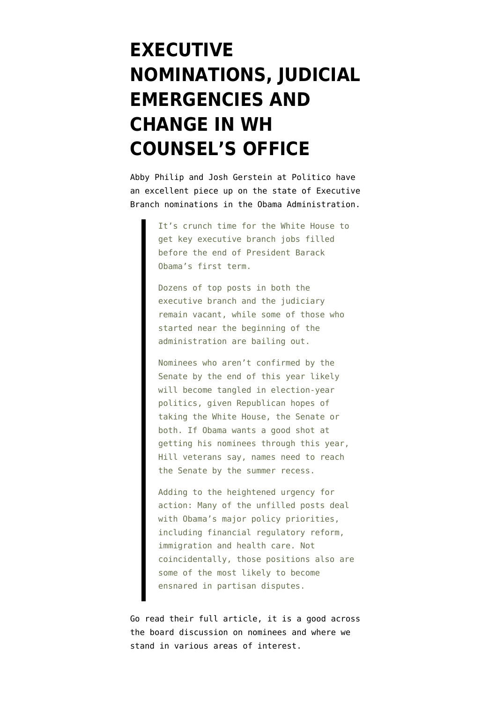## **[EXECUTIVE](https://www.emptywheel.net/2011/06/02/executive-nominations-judicial-emergencies-and-change-in-wh-counsels-office/) [NOMINATIONS, JUDICIAL](https://www.emptywheel.net/2011/06/02/executive-nominations-judicial-emergencies-and-change-in-wh-counsels-office/) [EMERGENCIES AND](https://www.emptywheel.net/2011/06/02/executive-nominations-judicial-emergencies-and-change-in-wh-counsels-office/) [CHANGE IN WH](https://www.emptywheel.net/2011/06/02/executive-nominations-judicial-emergencies-and-change-in-wh-counsels-office/) [COUNSEL'S OFFICE](https://www.emptywheel.net/2011/06/02/executive-nominations-judicial-emergencies-and-change-in-wh-counsels-office/)**

[Abby Philip and Josh Gerstein](http://www.politico.com/news/stories/0611/56066.html) at Politico have an excellent piece up on the state of Executive Branch nominations in the Obama Administration.

> It's crunch time for the White House to get key executive branch jobs filled before the end of President Barack Obama's first term.

Dozens of top posts in both the executive branch and the judiciary remain vacant, while some of those who started near the beginning of the administration are bailing out.

Nominees who aren't confirmed by the Senate by the end of this year likely will become tangled in election-year politics, given Republican hopes of taking the White House, the Senate or both. If Obama wants a good shot at getting his nominees through this year, Hill veterans say, names need to reach the Senate by the summer recess.

Adding to the heightened urgency for action: Many of the unfilled posts deal with Obama's major policy priorities, including financial regulatory reform, immigration and health care. Not coincidentally, those positions also are some of the most likely to become ensnared in partisan disputes.

Go read [their full article,](http://dyn.politico.com/printstory.cfm?uuid=1BDC157E-8793-4D0F-BDB8-B2131B914061) it is a good across the board discussion on nominees and where we stand in various areas of interest.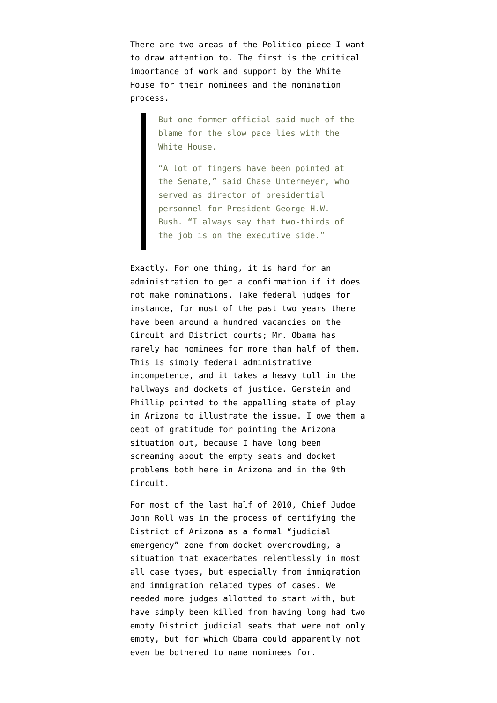There are two areas of the Politico piece I want to draw attention to. The first is the critical importance of work and support by the White House for their nominees and the nomination process.

> But one former official said much of the blame for the slow pace lies with the White House.

"A lot of fingers have been pointed at the Senate," said Chase Untermeyer, who served as director of presidential personnel for President George H.W. Bush. "I always say that two-thirds of the job is on the executive side."

Exactly. For one thing, it is hard for an administration to get a confirmation if it does not make nominations. Take federal judges for instance, for most of the past two years there have been around a hundred vacancies on the Circuit and District courts; Mr. Obama has rarely had nominees for more than half of them. This is simply federal administrative incompetence, and it takes a heavy toll in the hallways and dockets of justice. Gerstein and Phillip pointed to the appalling state of play in Arizona to illustrate the issue. I owe them a debt of gratitude for pointing the Arizona situation out, because I have long been screaming about the empty seats and docket problems both here in Arizona and in the 9th Circuit.

For most of the last half of 2010, Chief Judge John Roll was in the process of certifying the District of Arizona as a formal "judicial emergency" zone from docket overcrowding, a situation that exacerbates relentlessly in most all case types, but especially from immigration and immigration related types of cases. We needed more judges allotted to start with, but have simply been killed from having long had two empty District judicial seats that were not only empty, but for which Obama could apparently not even be bothered to name nominees for.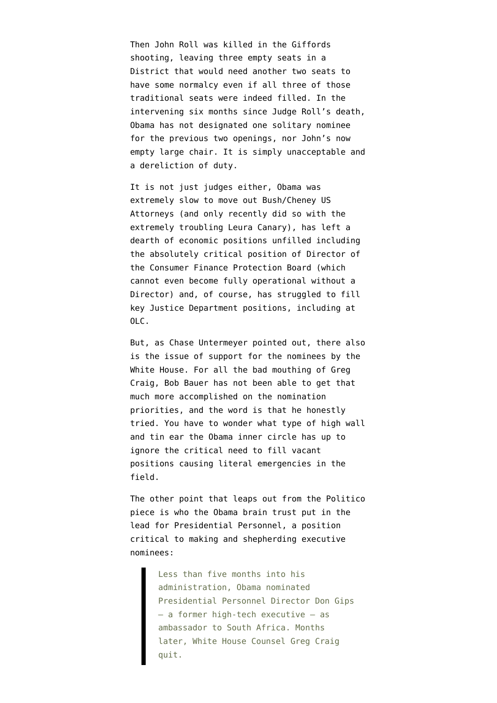Then John Roll was killed in the Giffords shooting, leaving three empty seats in a District that would need another two seats to have some normalcy even if all three of those traditional seats were indeed filled. In the intervening six months since Judge Roll's death, Obama has not designated one solitary nominee for the previous two openings, nor John's now empty large chair. It is simply unacceptable and a dereliction of duty.

It is not just judges either, Obama was extremely slow to move out [Bush/Cheney US](http://www.mainjustice.com/2010/09/17/obama-u-s-attorney-appointee-numbers-trail-bush-clinton/) [Attorneys](http://www.mainjustice.com/2010/09/17/obama-u-s-attorney-appointee-numbers-trail-bush-clinton/) (and only recently did so with the extremely troubling Leura Canary), has left a dearth of economic positions unfilled including the absolutely critical position of [Director of](http://news.firedoglake.com/2011/04/14/nobody-will-take-cfpb-job-over-elizabeth-warren/) [the Consumer Finance Protection Board](http://news.firedoglake.com/2011/04/14/nobody-will-take-cfpb-job-over-elizabeth-warren/) (which cannot even become fully operational without a Director) and, of course, has struggled to fill key Justice Department positions, [including at](http://emptywheel.firedoglake.com/2010/04/10/obama-killed-the-johnsen-nomination-not-ben-nelson-nor-the-gop/) [OLC.](http://emptywheel.firedoglake.com/2010/04/10/obama-killed-the-johnsen-nomination-not-ben-nelson-nor-the-gop/)

But, as Chase Untermeyer pointed out, there also is the issue of support for the nominees by the White House. For all the bad mouthing of Greg Craig, Bob Bauer has not been able to get that much more accomplished on the nomination priorities, and the word is that he honestly tried. You have to wonder what type of high wall and tin ear the Obama inner circle has up to ignore the critical need to fill vacant positions causing literal emergencies in the field.

The other point that leaps out from the Politico piece is who the Obama brain trust put in the lead for Presidential Personnel, a position critical to making and shepherding executive nominees:

> Less than five months into his administration, Obama nominated Presidential Personnel Director Don Gips — a former high-tech executive — as ambassador to South Africa. Months later, White House Counsel Greg Craig quit.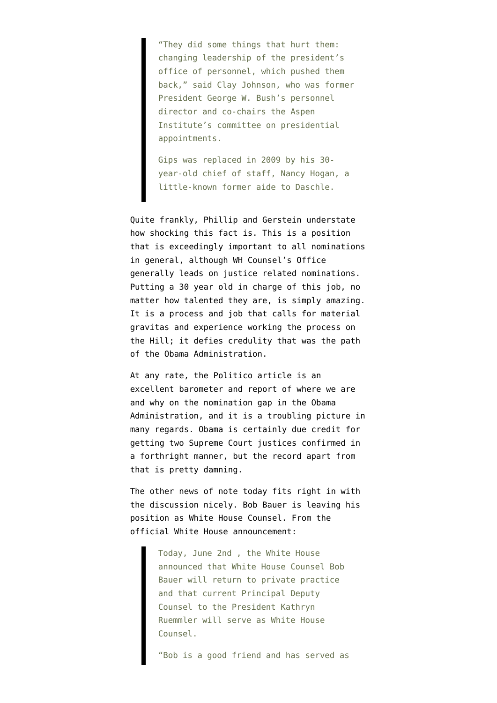"They did some things that hurt them: changing leadership of the president's office of personnel, which pushed them back," said Clay Johnson, who was former President George W. Bush's personnel director and co-chairs the Aspen Institute's committee on presidential appointments.

Gips was replaced in 2009 by his 30 year-old chief of staff, Nancy Hogan, a little-known former aide to Daschle.

Quite frankly, Phillip and Gerstein understate how shocking this fact is. This is a position that is exceedingly important to all nominations in general, although WH Counsel's Office generally leads on justice related nominations. Putting a 30 year old in charge of this job, no matter how talented they are, is simply amazing. It is a process and job that calls for material gravitas and experience working the process on the Hill; it defies credulity that was the path of the Obama Administration.

At any rate, the Politico article is an excellent barometer and report of where we are and why on the nomination gap in the Obama Administration, and it is a troubling picture in many regards. Obama is certainly due credit for getting two Supreme Court justices confirmed in a forthright manner, but the record apart from that is pretty damning.

The other news of note today fits right in with the discussion nicely. Bob Bauer is leaving his position as White House Counsel. From the official White House announcement:

> Today, June 2nd , the White House announced that White House Counsel Bob Bauer will return to private practice and that current Principal Deputy Counsel to the President Kathryn Ruemmler will serve as White House Counsel.

"Bob is a good friend and has served as